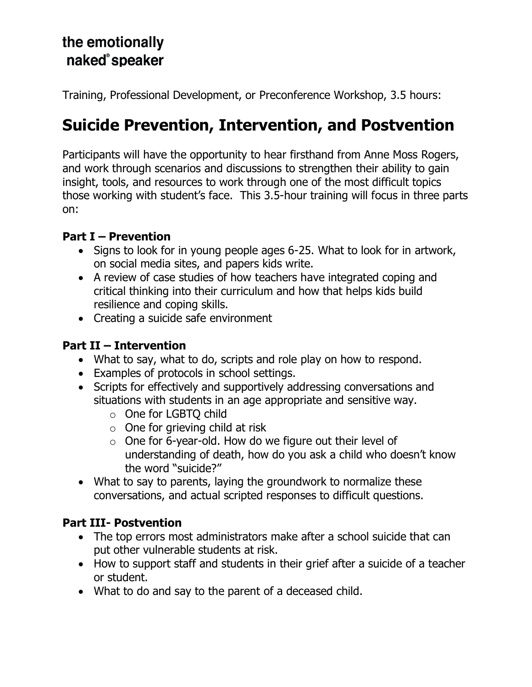## the emotionally naked<sup>®</sup>speaker

Training, Professional Development, or Preconference Workshop, 3.5 hours:

# **Suicide Prevention, Intervention, and Postvention**

Participants will have the opportunity to hear firsthand from Anne Moss Rogers, and work through scenarios and discussions to strengthen their ability to gain insight, tools, and resources to work through one of the most difficult topics those working with student's face. This 3.5-hour training will focus in three parts on:

#### **Part I – Prevention**

- Signs to look for in young people ages 6-25. What to look for in artwork, on social media sites, and papers kids write.
- A review of case studies of how teachers have integrated coping and critical thinking into their curriculum and how that helps kids build resilience and coping skills.
- Creating a suicide safe environment

### **Part II – Intervention**

- What to say, what to do, scripts and role play on how to respond.
- Examples of protocols in school settings.
- Scripts for effectively and supportively addressing conversations and situations with students in an age appropriate and sensitive way.
	- o One for LGBTQ child
	- $\circ$  One for grieving child at risk
	- $\circ$  One for 6-year-old. How do we figure out their level of understanding of death, how do you ask a child who doesn't know the word "suicide?"
- What to say to parents, laying the groundwork to normalize these conversations, and actual scripted responses to difficult questions.

#### **Part III- Postvention**

- The top errors most administrators make after a school suicide that can put other vulnerable students at risk.
- How to support staff and students in their grief after a suicide of a teacher or student.
- What to do and say to the parent of a deceased child.